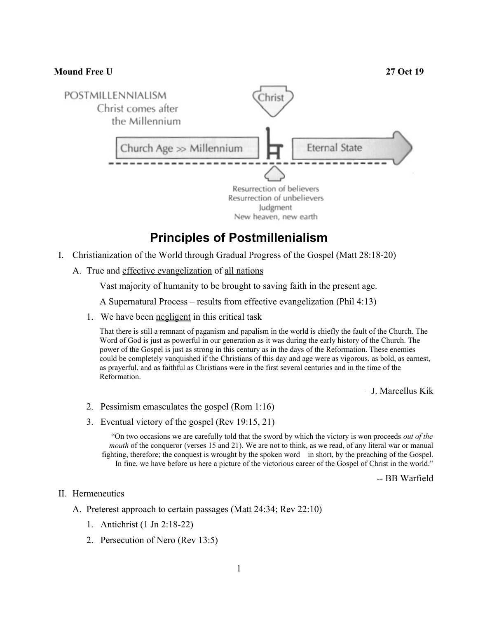## **Mound Free U 27 Oct 19** POSTMILLENNIALISM hris Christ comes after the Millennium Church Age  $\gg$  Millennium State Resurrection of believers Resurrection of unbelievers Judgment New heaven, new earth

## **Principles of Postmillenialism**

- I. Christianization of the World through Gradual Progress of the Gospel (Matt 28:18-20)
	- A. True and effective evangelization of all nations

Vast majority of humanity to be brought to saving faith in the present age.

A Supernatural Process – results from effective evangelization (Phil 4:13)

1. We have been negligent in this critical task

That there is still a remnant of paganism and papalism in the world is chiefly the fault of the Church. The Word of God is just as powerful in our generation as it was during the early history of the Church. The power of the Gospel is just as strong in this century as in the days of the Reformation. These enemies could be completely vanquished if the Christians of this day and age were as vigorous, as bold, as earnest, as prayerful, and as faithful as Christians were in the first several centuries and in the time of the Reformation.

– J. Marcellus Kik

- 2. Pessimism emasculates the gospel (Rom 1:16)
- 3. Eventual victory of the gospel (Rev 19:15, 21)

"On two occasions we are carefully told that the sword by which the victory is won proceeds *out of the mouth* of the conqueror (verses 15 and 21). We are not to think, as we read, of any literal war or manual fighting, therefore; the conquest is wrought by the spoken word—in short, by the preaching of the Gospel. In fine, we have before us here a picture of the victorious career of the Gospel of Christ in the world."

-- BB Warfield

## II. Hermeneutics

- A. Preterest approach to certain passages (Matt 24:34; Rev 22:10)
	- 1. Antichrist (1 Jn 2:18-22)
	- 2. Persecution of Nero (Rev 13:5)